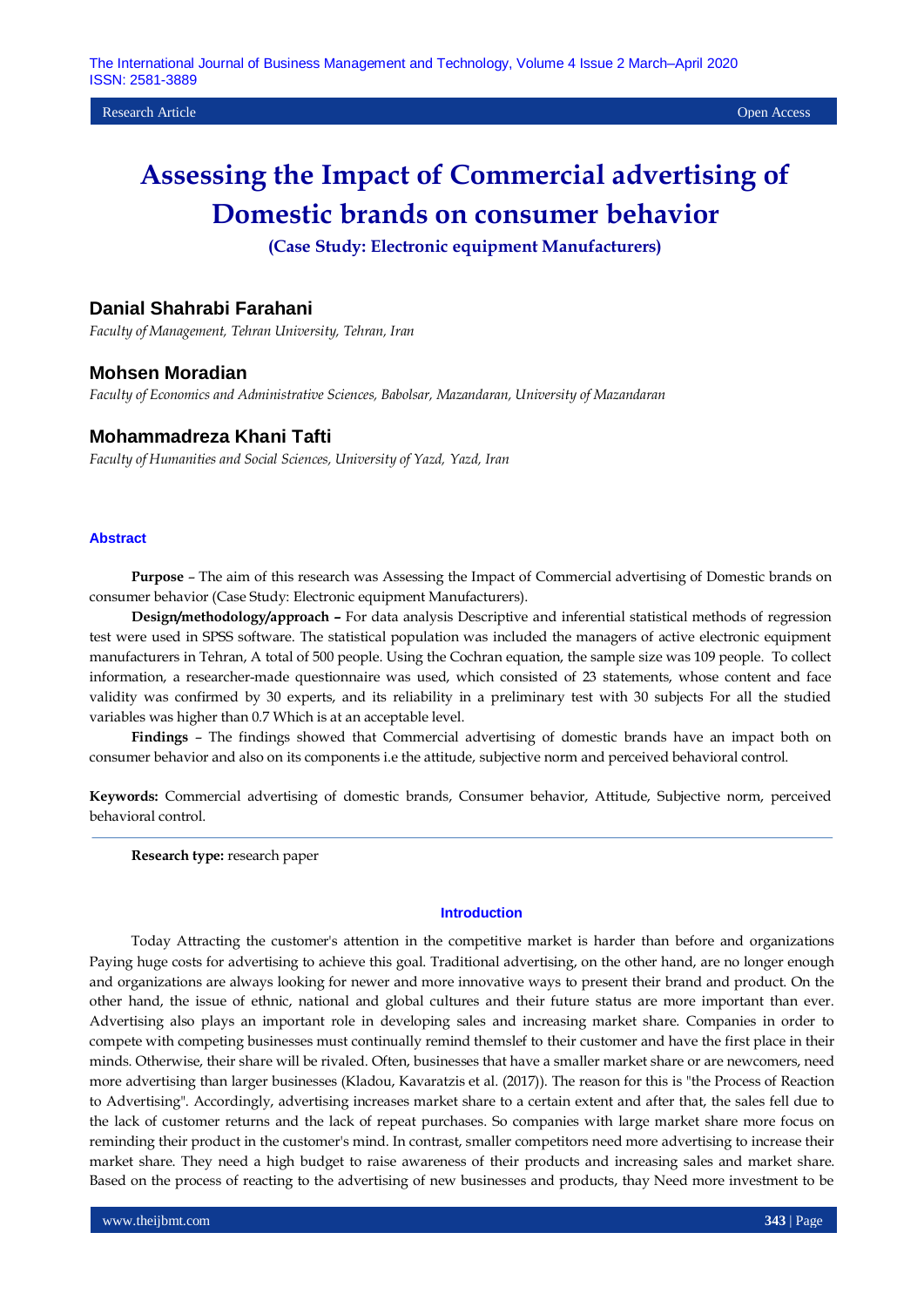Research Article Open Access

# **Assessing the Impact of Commercial advertising of Domestic brands on consumer behavior**

**(Case Study: Electronic equipment Manufacturers)**

# **Danial Shahrabi Farahani**

*Faculty of Management, Tehran University, Tehran, Iran*

## **Mohsen Moradian**

*Faculty of Economics and Administrative Sciences, Babolsar, Mazandaran, University of Mazandaran*

# **Mohammadreza Khani Tafti**

*Faculty of Humanities and Social Sciences, University of Yazd, Yazd, Iran*

### **Abstract**

**Purpose** – The aim of this research was Assessing the Impact of Commercial advertising of Domestic brands on consumer behavior (Case Study: Electronic equipment Manufacturers).

**Design/methodology/approach –** For data analysis Descriptive and inferential statistical methods of regression test were used in SPSS software. The statistical population was included the managers of active electronic equipment manufacturers in Tehran, A total of 500 people. Using the Cochran equation, the sample size was 109 people. To collect information, a researcher-made questionnaire was used, which consisted of 23 statements, whose content and face validity was confirmed by 30 experts, and its reliability in a preliminary test with 30 subjects For all the studied variables was higher than 0.7 Which is at an acceptable level.

**Findings** – The findings showed that Commercial advertising of domestic brands have an impact both on consumer behavior and also on its components i.e the attitude, subjective norm and perceived behavioral control.

**Keywords:** Commercial advertising of domestic brands, Consumer behavior, Attitude, Subjective norm, perceived behavioral control.

**Research type:** research paper

#### **Introduction**

Today Attracting the customer's attention in the competitive market is harder than before and organizations Paying huge costs for advertising to achieve this goal. Traditional advertising, on the other hand, are no longer enough and organizations are always looking for newer and more innovative ways to present their brand and product. On the other hand, the issue of ethnic, national and global cultures and their future status are more important than ever. Advertising also plays an important role in developing sales and increasing market share. Companies in order to compete with competing businesses must continually remind themslef to their customer and have the first place in their minds. Otherwise, their share will be rivaled. Often, businesses that have a smaller market share or are newcomers, need more advertising than larger businesses (Kladou, Kavaratzis et al. (2017)). The reason for this is "the Process of Reaction to Advertising". Accordingly, advertising increases market share to a certain extent and after that, the sales fell due to the lack of customer returns and the lack of repeat purchases. So companies with large market share more focus on reminding their product in the customer's mind. In contrast, smaller competitors need more advertising to increase their market share. They need a high budget to raise awareness of their products and increasing sales and market share. Based on the process of reacting to the advertising of new businesses and products, thay Need more investment to be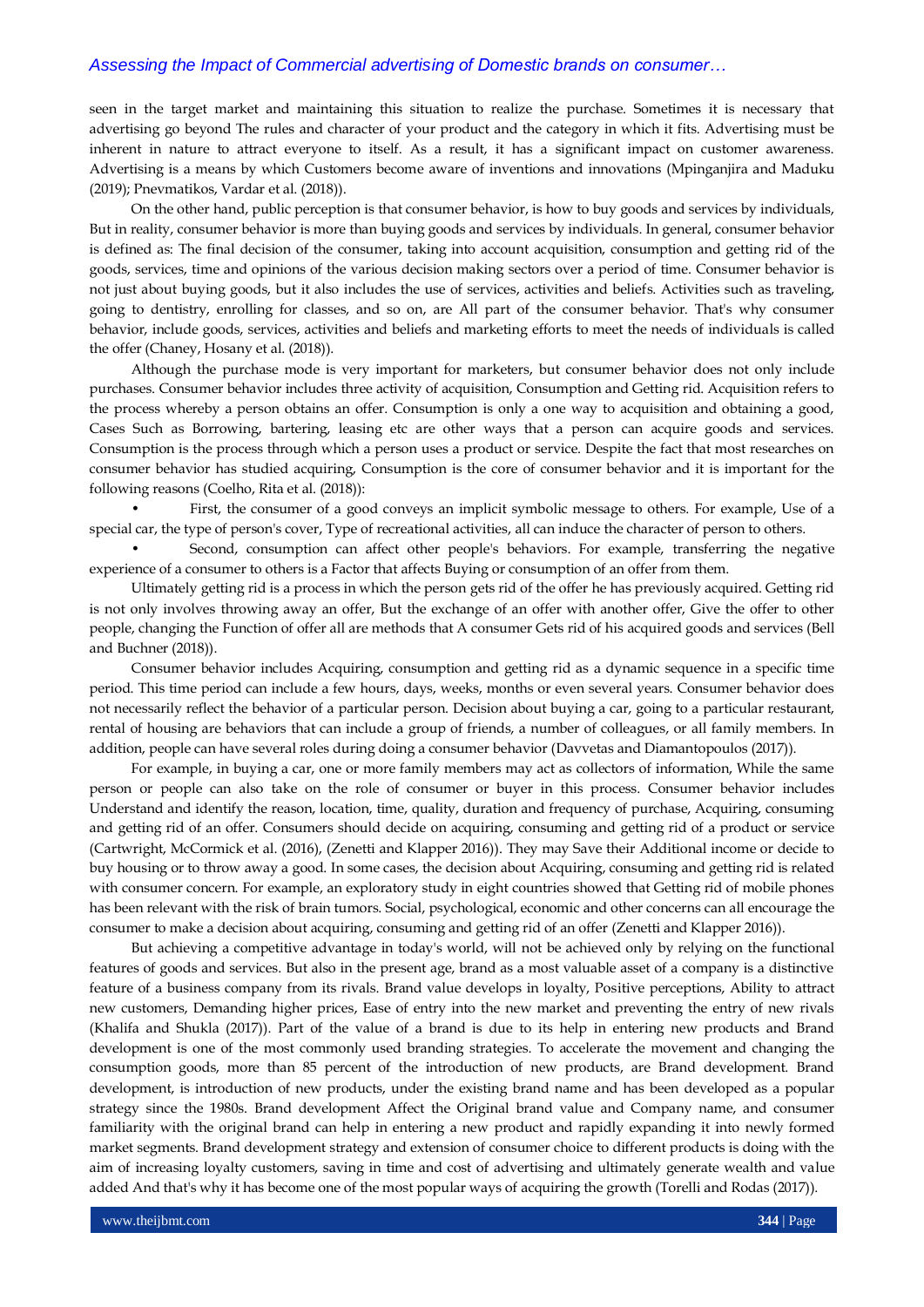seen in the target market and maintaining this situation to realize the purchase. Sometimes it is necessary that advertising go beyond The rules and character of your product and the category in which it fits. Advertising must be inherent in nature to attract everyone to itself. As a result, it has a significant impact on customer awareness. Advertising is a means by which Customers become aware of inventions and innovations (Mpinganjira and Maduku (2019); Pnevmatikos, Vardar et al. (2018)).

On the other hand, public perception is that consumer behavior, is how to buy goods and services by individuals, But in reality, consumer behavior is more than buying goods and services by individuals. In general, consumer behavior is defined as: The final decision of the consumer, taking into account acquisition, consumption and getting rid of the goods, services, time and opinions of the various decision making sectors over a period of time. Consumer behavior is not just about buying goods, but it also includes the use of services, activities and beliefs. Activities such as traveling, going to dentistry, enrolling for classes, and so on, are All part of the consumer behavior. That's why consumer behavior, include goods, services, activities and beliefs and marketing efforts to meet the needs of individuals is called the offer (Chaney, Hosany et al. (2018)).

Although the purchase mode is very important for marketers, but consumer behavior does not only include purchases. Consumer behavior includes three activity of acquisition, Consumption and Getting rid. Acquisition refers to the process whereby a person obtains an offer. Consumption is only a one way to acquisition and obtaining a good, Cases Such as Borrowing, bartering, leasing etc are other ways that a person can acquire goods and services. Consumption is the process through which a person uses a product or service. Despite the fact that most researches on consumer behavior has studied acquiring, Consumption is the core of consumer behavior and it is important for the following reasons (Coelho, Rita et al. (2018)):

• First, the consumer of a good conveys an implicit symbolic message to others. For example, Use of a special car, the type of person's cover, Type of recreational activities, all can induce the character of person to others.

• Second, consumption can affect other people's behaviors. For example, transferring the negative experience of a consumer to others is a Factor that affects Buying or consumption of an offer from them.

Ultimately getting rid is a process in which the person gets rid of the offer he has previously acquired. Getting rid is not only involves throwing away an offer, But the exchange of an offer with another offer, Give the offer to other people, changing the Function of offer all are methods that A consumer Gets rid of his acquired goods and services (Bell and Buchner (2018)).

Consumer behavior includes Acquiring, consumption and getting rid as a dynamic sequence in a specific time period. This time period can include a few hours, days, weeks, months or even several years. Consumer behavior does not necessarily reflect the behavior of a particular person. Decision about buying a car, going to a particular restaurant, rental of housing are behaviors that can include a group of friends, a number of colleagues, or all family members. In addition, people can have several roles during doing a consumer behavior (Davvetas and Diamantopoulos (2017)).

For example, in buying a car, one or more family members may act as collectors of information, While the same person or people can also take on the role of consumer or buyer in this process. Consumer behavior includes Understand and identify the reason, location, time, quality, duration and frequency of purchase, Acquiring, consuming and getting rid of an offer. Consumers should decide on acquiring, consuming and getting rid of a product or service (Cartwright, McCormick et al. (2016), (Zenetti and Klapper 2016)). They may Save their Additional income or decide to buy housing or to throw away a good. In some cases, the decision about Acquiring, consuming and getting rid is related with consumer concern. For example, an exploratory study in eight countries showed that Getting rid of mobile phones has been relevant with the risk of brain tumors. Social, psychological, economic and other concerns can all encourage the consumer to make a decision about acquiring, consuming and getting rid of an offer (Zenetti and Klapper 2016)).

But achieving a competitive advantage in today's world, will not be achieved only by relying on the functional features of goods and services. But also in the present age, brand as a most valuable asset of a company is a distinctive feature of a business company from its rivals. Brand value develops in loyalty, Positive perceptions, Ability to attract new customers, Demanding higher prices, Ease of entry into the new market and preventing the entry of new rivals (Khalifa and Shukla (2017)). Part of the value of a brand is due to its help in entering new products and Brand development is one of the most commonly used branding strategies. To accelerate the movement and changing the consumption goods, more than 85 percent of the introduction of new products, are Brand development. Brand development, is introduction of new products, under the existing brand name and has been developed as a popular strategy since the 1980s. Brand development Affect the Original brand value and Company name, and consumer familiarity with the original brand can help in entering a new product and rapidly expanding it into newly formed market segments. Brand development strategy and extension of consumer choice to different products is doing with the aim of increasing loyalty customers, saving in time and cost of advertising and ultimately generate wealth and value added And that's why it has become one of the most popular ways of acquiring the growth (Torelli and Rodas (2017)).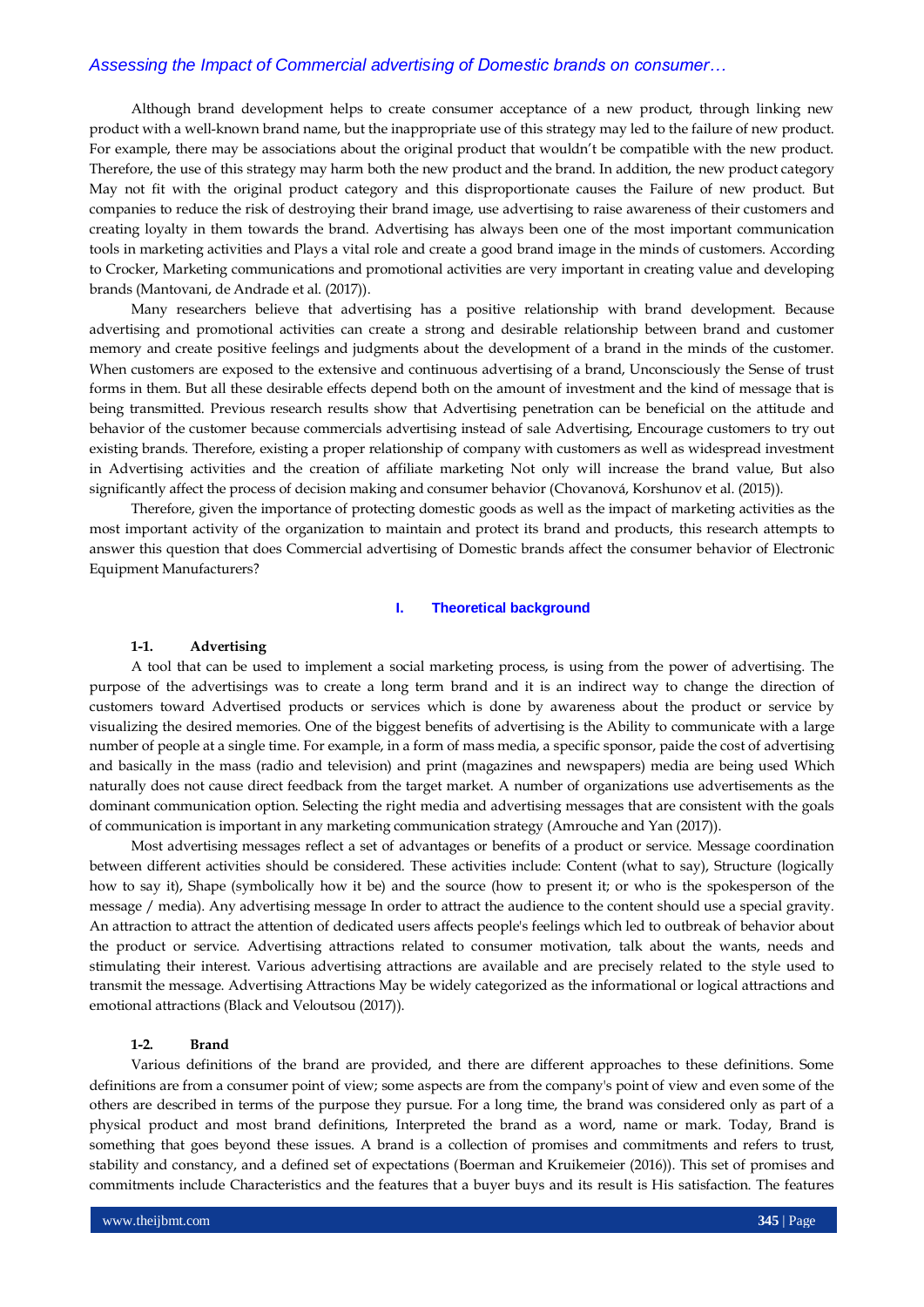Although brand development helps to create consumer acceptance of a new product, through linking new product with a well-known brand name, but the inappropriate use of this strategy may led to the failure of new product. For example, there may be associations about the original product that wouldn't be compatible with the new product. Therefore, the use of this strategy may harm both the new product and the brand. In addition, the new product category May not fit with the original product category and this disproportionate causes the Failure of new product. But companies to reduce the risk of destroying their brand image, use advertising to raise awareness of their customers and creating loyalty in them towards the brand. Advertising has always been one of the most important communication tools in marketing activities and Plays a vital role and create a good brand image in the minds of customers. According to Crocker, Marketing communications and promotional activities are very important in creating value and developing brands (Mantovani, de Andrade et al. (2017)).

Many researchers believe that advertising has a positive relationship with brand development. Because advertising and promotional activities can create a strong and desirable relationship between brand and customer memory and create positive feelings and judgments about the development of a brand in the minds of the customer. When customers are exposed to the extensive and continuous advertising of a brand, Unconsciously the Sense of trust forms in them. But all these desirable effects depend both on the amount of investment and the kind of message that is being transmitted. Previous research results show that Advertising penetration can be beneficial on the attitude and behavior of the customer because commercials advertising instead of sale Advertising, Encourage customers to try out existing brands. Therefore, existing a proper relationship of company with customers as well as widespread investment in Advertising activities and the creation of affiliate marketing Not only will increase the brand value, But also significantly affect the process of decision making and consumer behavior (Chovanová, Korshunov et al. (2015)).

Therefore, given the importance of protecting domestic goods as well as the impact of marketing activities as the most important activity of the organization to maintain and protect its brand and products, this research attempts to answer this question that does Commercial advertising of Domestic brands affect the consumer behavior of Electronic Equipment Manufacturers?

#### **I. Theoretical background**

## **1-1. Advertising**

A tool that can be used to implement a social marketing process, is using from the power of advertising. The purpose of the advertisings was to create a long term brand and it is an indirect way to change the direction of customers toward Advertised products or services which is done by awareness about the product or service by visualizing the desired memories. One of the biggest benefits of advertising is the Ability to communicate with a large number of people at a single time. For example, in a form of mass media, a specific sponsor, paide the cost of advertising and basically in the mass (radio and television) and print (magazines and newspapers) media are being used Which naturally does not cause direct feedback from the target market. A number of organizations use advertisements as the dominant communication option. Selecting the right media and advertising messages that are consistent with the goals of communication is important in any marketing communication strategy (Amrouche and Yan (2017)).

Most advertising messages reflect a set of advantages or benefits of a product or service. Message coordination between different activities should be considered. These activities include: Content (what to say), Structure (logically how to say it), Shape (symbolically how it be) and the source (how to present it; or who is the spokesperson of the message / media). Any advertising message In order to attract the audience to the content should use a special gravity. An attraction to attract the attention of dedicated users affects people's feelings which led to outbreak of behavior about the product or service. Advertising attractions related to consumer motivation, talk about the wants, needs and stimulating their interest. Various advertising attractions are available and are precisely related to the style used to transmit the message. Advertising Attractions May be widely categorized as the informational or logical attractions and emotional attractions (Black and Veloutsou (2017)).

## **1-2. Brand**

Various definitions of the brand are provided, and there are different approaches to these definitions. Some definitions are from a consumer point of view; some aspects are from the company's point of view and even some of the others are described in terms of the purpose they pursue. For a long time, the brand was considered only as part of a physical product and most brand definitions, Interpreted the brand as a word, name or mark. Today, Brand is something that goes beyond these issues. A brand is a collection of promises and commitments and refers to trust, stability and constancy, and a defined set of expectations (Boerman and Kruikemeier (2016)). This set of promises and commitments include Characteristics and the features that a buyer buys and its result is His satisfaction. The features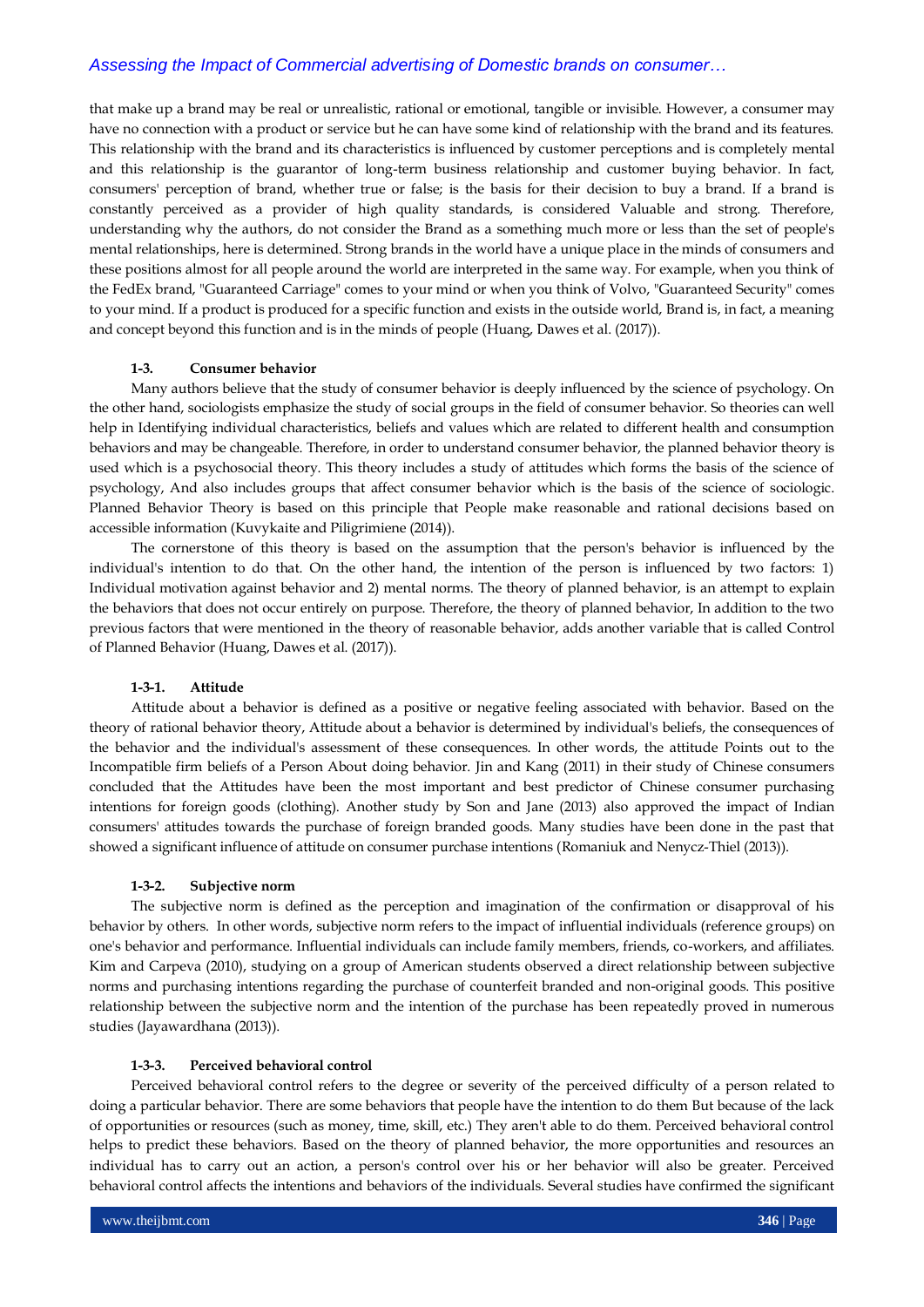that make up a brand may be real or unrealistic, rational or emotional, tangible or invisible. However, a consumer may have no connection with a product or service but he can have some kind of relationship with the brand and its features. This relationship with the brand and its characteristics is influenced by customer perceptions and is completely mental and this relationship is the guarantor of long-term business relationship and customer buying behavior. In fact, consumers' perception of brand, whether true or false; is the basis for their decision to buy a brand. If a brand is constantly perceived as a provider of high quality standards, is considered Valuable and strong. Therefore, understanding why the authors, do not consider the Brand as a something much more or less than the set of people's mental relationships, here is determined. Strong brands in the world have a unique place in the minds of consumers and these positions almost for all people around the world are interpreted in the same way. For example, when you think of the FedEx brand, "Guaranteed Carriage" comes to your mind or when you think of Volvo, "Guaranteed Security" comes to your mind. If a product is produced for a specific function and exists in the outside world, Brand is, in fact, a meaning and concept beyond this function and is in the minds of people (Huang, Dawes et al. (2017)).

## **1-3. Consumer behavior**

Many authors believe that the study of consumer behavior is deeply influenced by the science of psychology. On the other hand, sociologists emphasize the study of social groups in the field of consumer behavior. So theories can well help in Identifying individual characteristics, beliefs and values which are related to different health and consumption behaviors and may be changeable. Therefore, in order to understand consumer behavior, the planned behavior theory is used which is a psychosocial theory. This theory includes a study of attitudes which forms the basis of the science of psychology, And also includes groups that affect consumer behavior which is the basis of the science of sociologic. Planned Behavior Theory is based on this principle that People make reasonable and rational decisions based on accessible information (Kuvykaite and Piligrimiene (2014)).

The cornerstone of this theory is based on the assumption that the person's behavior is influenced by the individual's intention to do that. On the other hand, the intention of the person is influenced by two factors: 1) Individual motivation against behavior and 2) mental norms. The theory of planned behavior, is an attempt to explain the behaviors that does not occur entirely on purpose. Therefore, the theory of planned behavior, In addition to the two previous factors that were mentioned in the theory of reasonable behavior, adds another variable that is called Control of Planned Behavior (Huang, Dawes et al. (2017)).

### **1-3-1. Attitude**

Attitude about a behavior is defined as a positive or negative feeling associated with behavior. Based on the theory of rational behavior theory, Attitude about a behavior is determined by individual's beliefs, the consequences of the behavior and the individual's assessment of these consequences. In other words, the attitude Points out to the Incompatible firm beliefs of a Person About doing behavior. Jin and Kang (2011) in their study of Chinese consumers concluded that the Attitudes have been the most important and best predictor of Chinese consumer purchasing intentions for foreign goods (clothing). Another study by Son and Jane (2013) also approved the impact of Indian consumers' attitudes towards the purchase of foreign branded goods. Many studies have been done in the past that showed a significant influence of attitude on consumer purchase intentions (Romaniuk and Nenycz-Thiel (2013)).

#### **1-3-2. Subjective norm**

The subjective norm is defined as the perception and imagination of the confirmation or disapproval of his behavior by others. In other words, subjective norm refers to the impact of influential individuals (reference groups) on one's behavior and performance. Influential individuals can include family members, friends, co-workers, and affiliates. Kim and Carpeva (2010), studying on a group of American students observed a direct relationship between subjective norms and purchasing intentions regarding the purchase of counterfeit branded and non-original goods. This positive relationship between the subjective norm and the intention of the purchase has been repeatedly proved in numerous studies (Jayawardhana (2013)).

#### **1-3-3. Perceived behavioral control**

Perceived behavioral control refers to the degree or severity of the perceived difficulty of a person related to doing a particular behavior. There are some behaviors that people have the intention to do them But because of the lack of opportunities or resources (such as money, time, skill, etc.) They aren't able to do them. Perceived behavioral control helps to predict these behaviors. Based on the theory of planned behavior, the more opportunities and resources an individual has to carry out an action, a person's control over his or her behavior will also be greater. Perceived behavioral control affects the intentions and behaviors of the individuals. Several studies have confirmed the significant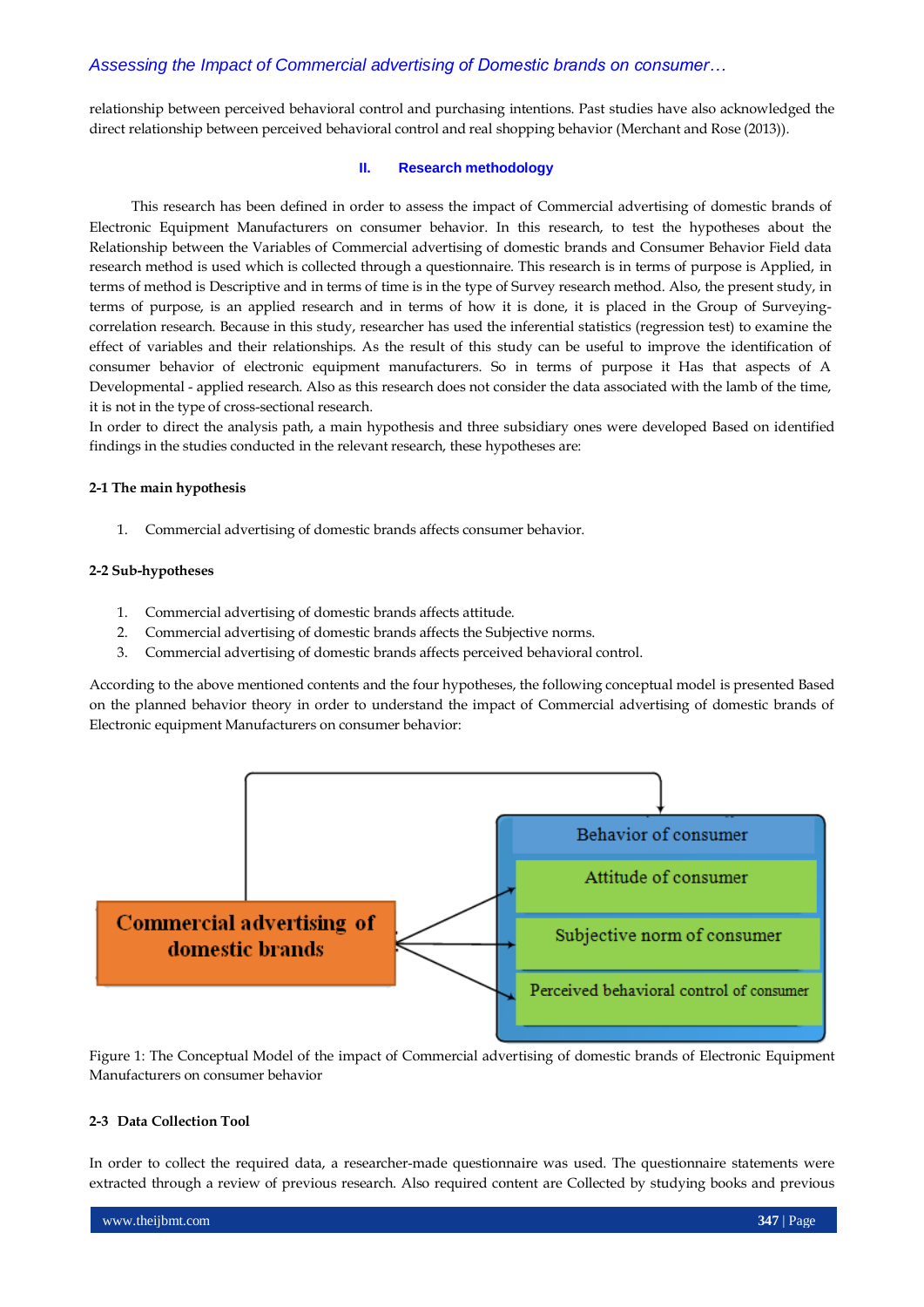relationship between perceived behavioral control and purchasing intentions. Past studies have also acknowledged the direct relationship between perceived behavioral control and real shopping behavior (Merchant and Rose (2013)).

## **II. Research methodology**

This research has been defined in order to assess the impact of Commercial advertising of domestic brands of Electronic Equipment Manufacturers on consumer behavior. In this research, to test the hypotheses about the Relationship between the Variables of Commercial advertising of domestic brands and Consumer Behavior Field data research method is used which is collected through a questionnaire. This research is in terms of purpose is Applied, in terms of method is Descriptive and in terms of time is in the type of Survey research method. Also, the present study, in terms of purpose, is an applied research and in terms of how it is done, it is placed in the Group of Surveyingcorrelation research. Because in this study, researcher has used the inferential statistics (regression test) to examine the effect of variables and their relationships. As the result of this study can be useful to improve the identification of consumer behavior of electronic equipment manufacturers. So in terms of purpose it Has that aspects of A Developmental - applied research. Also as this research does not consider the data associated with the lamb of the time, it is not in the type of cross-sectional research.

In order to direct the analysis path, a main hypothesis and three subsidiary ones were developed Based on identified findings in the studies conducted in the relevant research, these hypotheses are:

### **2-1 The main hypothesis**

1. Commercial advertising of domestic brands affects consumer behavior.

#### **2-2 Sub-hypotheses**

- 1. Commercial advertising of domestic brands affects attitude.
- 2. Commercial advertising of domestic brands affects the Subjective norms.
- 3. Commercial advertising of domestic brands affects perceived behavioral control.

According to the above mentioned contents and the four hypotheses, the following conceptual model is presented Based on the planned behavior theory in order to understand the impact of Commercial advertising of domestic brands of Electronic equipment Manufacturers on consumer behavior:



Figure 1: The Conceptual Model of the impact of Commercial advertising of domestic brands of Electronic Equipment Manufacturers on consumer behavior

## **2-3 Data Collection Tool**

In order to collect the required data, a researcher-made questionnaire was used. The questionnaire statements were extracted through a review of previous research. Also required content are Collected by studying books and previous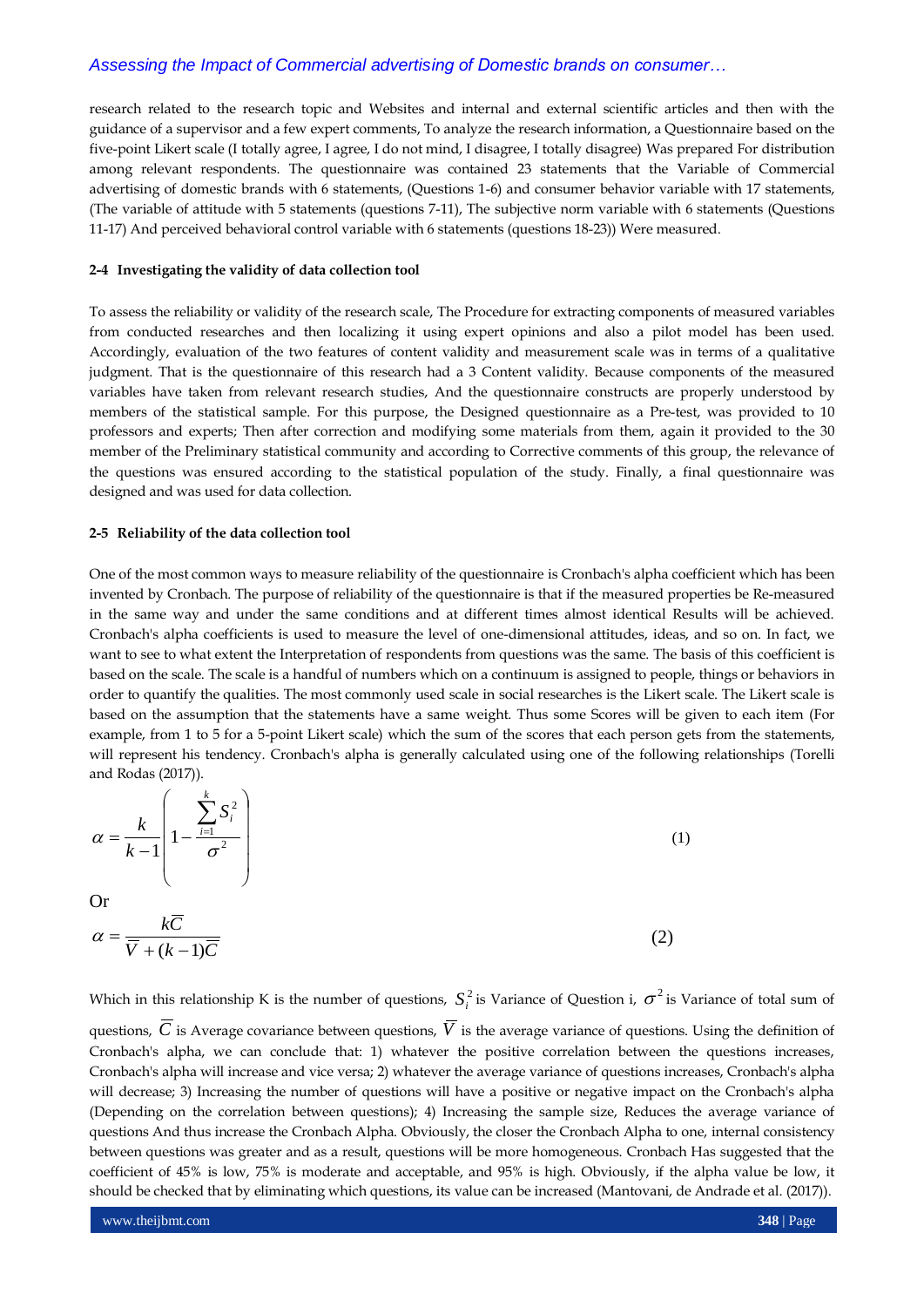research related to the research topic and Websites and internal and external scientific articles and then with the guidance of a supervisor and a few expert comments, To analyze the research information, a Questionnaire based on the five-point Likert scale (I totally agree, I agree, I do not mind, I disagree, I totally disagree) Was prepared For distribution among relevant respondents. The questionnaire was contained 23 statements that the Variable of Commercial advertising of domestic brands with 6 statements, (Questions 1-6) and consumer behavior variable with 17 statements, (The variable of attitude with 5 statements (questions 7-11), The subjective norm variable with 6 statements (Questions 11-17) And perceived behavioral control variable with 6 statements (questions 18-23)) Were measured.

#### **2-4 Investigating the validity of data collection tool**

To assess the reliability or validity of the research scale, The Procedure for extracting components of measured variables from conducted researches and then localizing it using expert opinions and also a pilot model has been used. Accordingly, evaluation of the two features of content validity and measurement scale was in terms of a qualitative judgment. That is the questionnaire of this research had a 3 Content validity. Because components of the measured variables have taken from relevant research studies, And the questionnaire constructs are properly understood by members of the statistical sample. For this purpose, the Designed questionnaire as a Pre-test, was provided to 10 professors and experts; Then after correction and modifying some materials from them, again it provided to the 30 member of the Preliminary statistical community and according to Corrective comments of this group, the relevance of the questions was ensured according to the statistical population of the study. Finally, a final questionnaire was designed and was used for data collection.

#### **2-5 Reliability of the data collection tool**

One of the most common ways to measure reliability of the questionnaire is Cronbach's alpha coefficient which has been invented by Cronbach. The purpose of reliability of the questionnaire is that if the measured properties be Re-measured in the same way and under the same conditions and at different times almost identical Results will be achieved. Cronbach's alpha coefficients is used to measure the level of one-dimensional attitudes, ideas, and so on. In fact, we want to see to what extent the Interpretation of respondents from questions was the same. The basis of this coefficient is based on the scale. The scale is a handful of numbers which on a continuum is assigned to people, things or behaviors in order to quantify the qualities. The most commonly used scale in social researches is the Likert scale. The Likert scale is based on the assumption that the statements have a same weight. Thus some Scores will be given to each item (For example, from 1 to 5 for a 5-point Likert scale) which the sum of the scores that each person gets from the statements, will represent his tendency. Cronbach's alpha is generally calculated using one of the following relationships (Torelli and Rodas (2017)).

$$
\alpha = \frac{k}{k-1} \left( 1 - \frac{\sum_{i=1}^{k} S_i^2}{\sigma^2} \right)
$$
\nOr\n
$$
\alpha = \frac{k\overline{C}}{\overline{V} + (k-1)\overline{C}}
$$
\n(1)

Which in this relationship K is the number of questions,  $S_i^2$  is Variance of Question i,  $\sigma^2$  is Variance of total sum of

questions,  $C$  is Average covariance between questions,  $V$  is the average variance of questions. Using the definition of Cronbach's alpha, we can conclude that: 1) whatever the positive correlation between the questions increases, Cronbach's alpha will increase and vice versa; 2) whatever the average variance of questions increases, Cronbach's alpha will decrease; 3) Increasing the number of questions will have a positive or negative impact on the Cronbach's alpha (Depending on the correlation between questions); 4) Increasing the sample size, Reduces the average variance of questions And thus increase the Cronbach Alpha. Obviously, the closer the Cronbach Alpha to one, internal consistency between questions was greater and as a result, questions will be more homogeneous. Cronbach Has suggested that the coefficient of 45% is low, 75% is moderate and acceptable, and 95% is high. Obviously, if the alpha value be low, it should be checked that by eliminating which questions, its value can be increased (Mantovani, de Andrade et al. (2017)).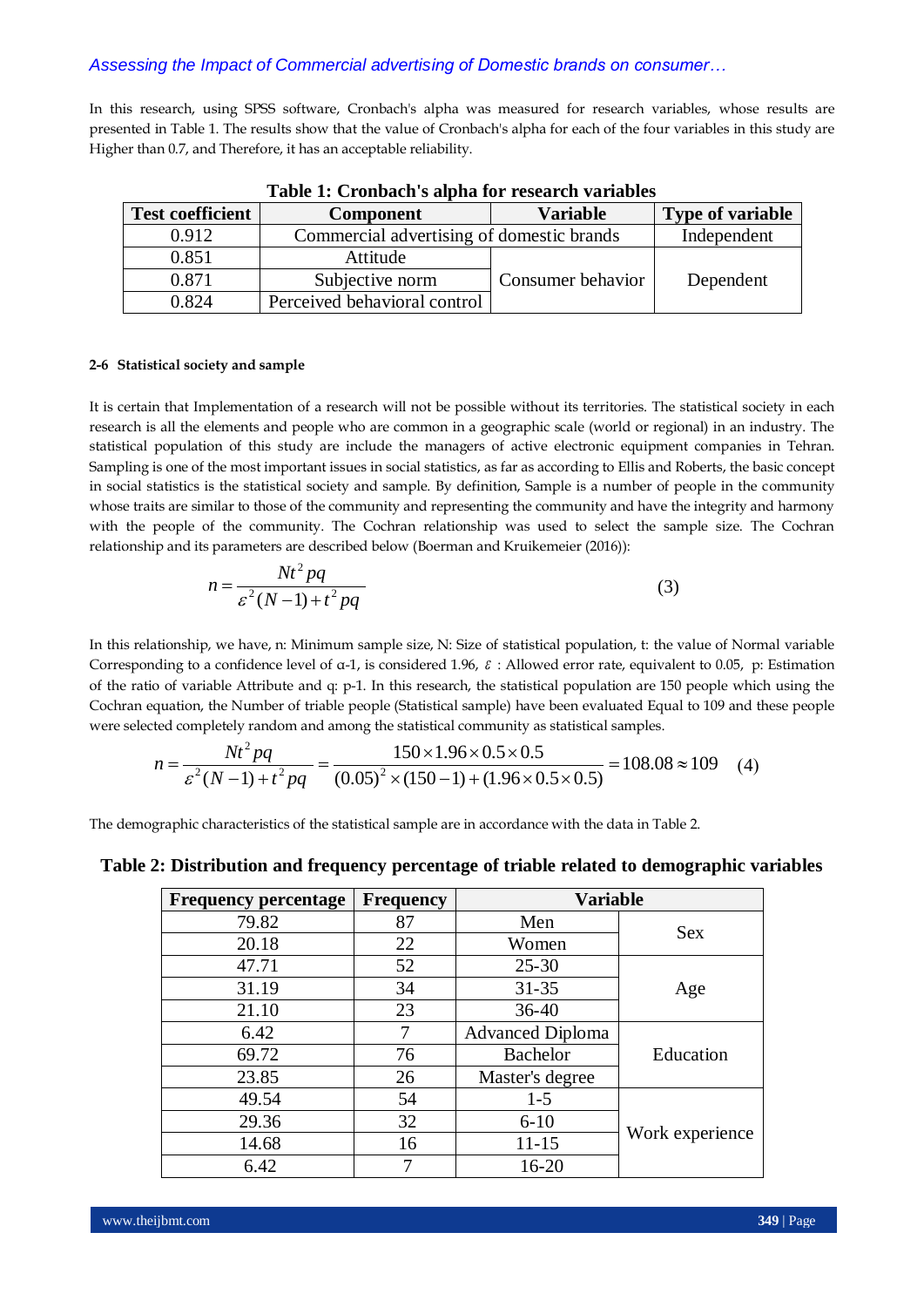In this research, using SPSS software, Cronbach's alpha was measured for research variables, whose results are presented in Table 1. The results show that the value of Cronbach's alpha for each of the four variables in this study are Higher than 0.7, and Therefore, it has an acceptable reliability.

| Table 1. Crombach 5 aipha for research variables |                                           |                   |                         |  |  |  |  |  |
|--------------------------------------------------|-------------------------------------------|-------------------|-------------------------|--|--|--|--|--|
| <b>Test coefficient</b>                          | <b>Component</b>                          | <b>Variable</b>   | <b>Type of variable</b> |  |  |  |  |  |
| 0.912                                            | Commercial advertising of domestic brands | Independent       |                         |  |  |  |  |  |
| 0.851                                            | Attitude                                  |                   |                         |  |  |  |  |  |
| 0.871                                            | Subjective norm                           | Consumer behavior |                         |  |  |  |  |  |
| 0.824                                            | Perceived behavioral control              |                   |                         |  |  |  |  |  |

## **2-6 Statistical society and sample**

It is certain that Implementation of a research will not be possible without its territories. The statistical society in each research is all the elements and people who are common in a geographic scale (world or regional) in an industry. The statistical population of this study are include the managers of active electronic equipment companies in Tehran. Sampling is one of the most important issues in social statistics, as far as according to Ellis and Roberts, the basic concept in social statistics is the statistical society and sample. By definition, Sample is a number of people in the community whose traits are similar to those of the community and representing the community and have the integrity and harmony with the people of the community. The Cochran relationship was used to select the sample size. The Cochran relationship and its parameters are described below (Boerman and Kruikemeier (2016)):

$$
n = \frac{Nt^2pq}{\varepsilon^2(N-1) + t^2pq}
$$
 (3)

In this relationship, we have, n: Minimum sample size, N: Size of statistical population, t: the value of Normal variable Corresponding to a confidence level of  $\alpha$ -1, is considered 1.96,  $\varepsilon$  : Allowed error rate, equivalent to 0.05, p: Estimation of the ratio of variable Attribute and q: p-1. In this research, the statistical population are 150 people which using the Cochran equation, the Number of triable people (Statistical sample) have been evaluated Equal to 109 and these people were selected completely random and among the statistical community as statistical samples.

$$
n = \frac{Nt^2pq}{\varepsilon^2(N-1) + t^2pq} = \frac{150 \times 1.96 \times 0.5 \times 0.5}{(0.05)^2 \times (150 - 1) + (1.96 \times 0.5 \times 0.5)} = 108.08 \approx 109
$$
 (4)

The demographic characteristics of the statistical sample are in accordance with the data in Table 2.

| <b>Frequency percentage</b> | <b>Frequency</b> | <b>Variable</b>         |                 |  |
|-----------------------------|------------------|-------------------------|-----------------|--|
| 79.82                       | 87               | Men                     | <b>Sex</b>      |  |
| 20.18                       | 22               | Women                   |                 |  |
| 47.71                       | 52               | $25 - 30$               |                 |  |
| 31.19                       | 34               | $31 - 35$               | Age             |  |
| 21.10                       | 23               | $36 - 40$               |                 |  |
| 6.42                        | 7                | <b>Advanced Diploma</b> | Education       |  |
| 69.72                       | 76               | <b>Bachelor</b>         |                 |  |
| 23.85                       | 26               | Master's degree         |                 |  |
| 49.54                       | 54               | $1 - 5$                 |                 |  |
| 29.36                       | 32               | $6 - 10$                |                 |  |
| 14.68                       | 16               | $11 - 15$               | Work experience |  |
| 6.42                        | 7                | $16 - 20$               |                 |  |

**Table 2: Distribution and frequency percentage of triable related to demographic variables**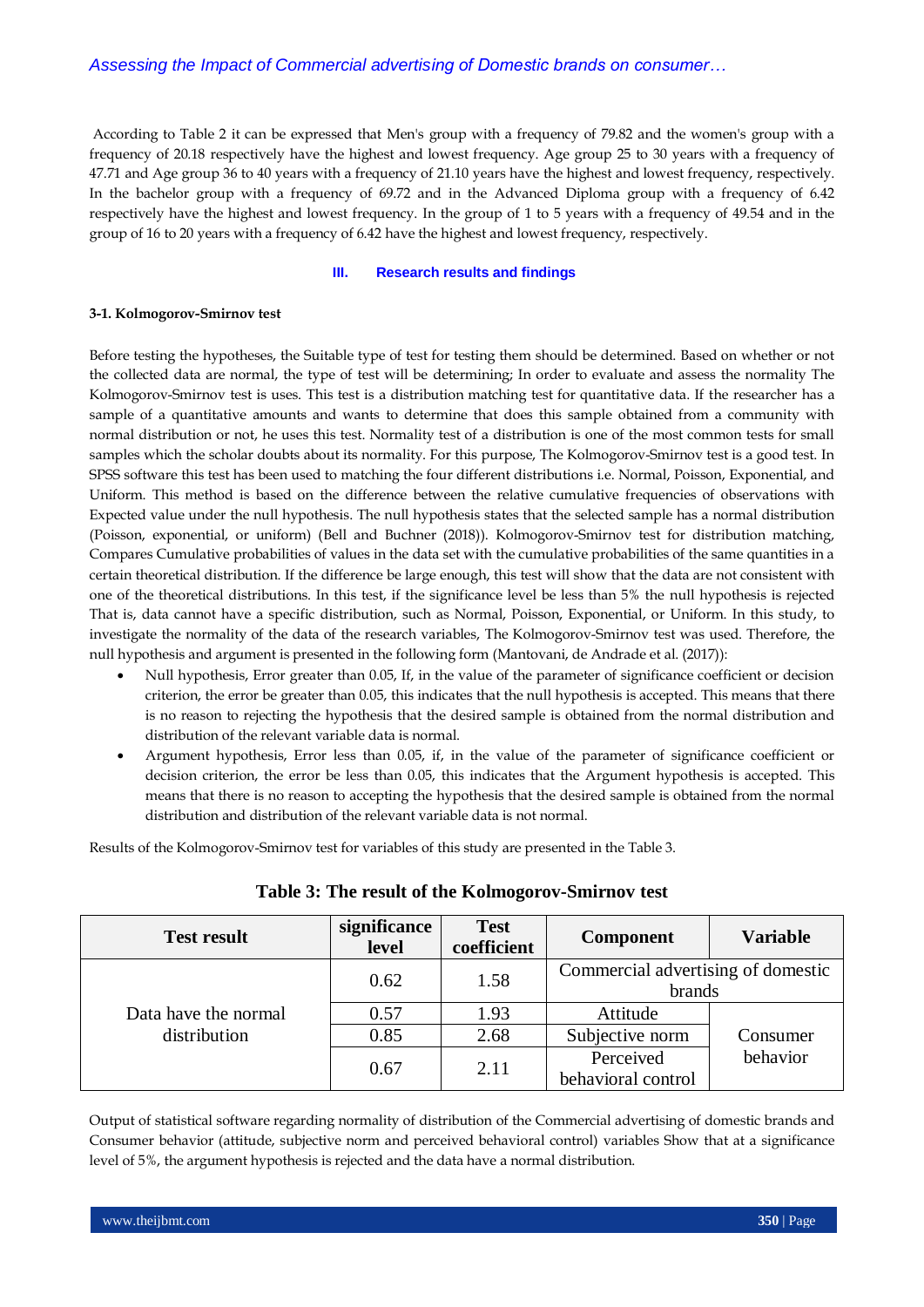According to Table 2 it can be expressed that Men's group with a frequency of 79.82 and the women's group with a frequency of 20.18 respectively have the highest and lowest frequency. Age group 25 to 30 years with a frequency of 47.71 and Age group 36 to 40 years with a frequency of 21.10 years have the highest and lowest frequency, respectively. In the bachelor group with a frequency of 69.72 and in the Advanced Diploma group with a frequency of 6.42 respectively have the highest and lowest frequency. In the group of 1 to 5 years with a frequency of 49.54 and in the group of 16 to 20 years with a frequency of 6.42 have the highest and lowest frequency, respectively.

#### **III. Research results and findings**

#### **3-1. Kolmogorov-Smirnov test**

Before testing the hypotheses, the Suitable type of test for testing them should be determined. Based on whether or not the collected data are normal, the type of test will be determining; In order to evaluate and assess the normality The Kolmogorov-Smirnov test is uses. This test is a distribution matching test for quantitative data. If the researcher has a sample of a quantitative amounts and wants to determine that does this sample obtained from a community with normal distribution or not, he uses this test. Normality test of a distribution is one of the most common tests for small samples which the scholar doubts about its normality. For this purpose, The Kolmogorov-Smirnov test is a good test. In SPSS software this test has been used to matching the four different distributions i.e. Normal, Poisson, Exponential, and Uniform. This method is based on the difference between the relative cumulative frequencies of observations with Expected value under the null hypothesis. The null hypothesis states that the selected sample has a normal distribution (Poisson, exponential, or uniform) (Bell and Buchner (2018)). Kolmogorov-Smirnov test for distribution matching, Compares Cumulative probabilities of values in the data set with the cumulative probabilities of the same quantities in a certain theoretical distribution. If the difference be large enough, this test will show that the data are not consistent with one of the theoretical distributions. In this test, if the significance level be less than 5% the null hypothesis is rejected That is, data cannot have a specific distribution, such as Normal, Poisson, Exponential, or Uniform. In this study, to investigate the normality of the data of the research variables, The Kolmogorov-Smirnov test was used. Therefore, the null hypothesis and argument is presented in the following form (Mantovani, de Andrade et al. (2017)):

- Null hypothesis, Error greater than 0.05, If, in the value of the parameter of significance coefficient or decision criterion, the error be greater than 0.05, this indicates that the null hypothesis is accepted. This means that there is no reason to rejecting the hypothesis that the desired sample is obtained from the normal distribution and distribution of the relevant variable data is normal.
- Argument hypothesis, Error less than 0.05, if, in the value of the parameter of significance coefficient or decision criterion, the error be less than 0.05, this indicates that the Argument hypothesis is accepted. This means that there is no reason to accepting the hypothesis that the desired sample is obtained from the normal distribution and distribution of the relevant variable data is not normal.

Results of the Kolmogorov-Smirnov test for variables of this study are presented in the Table 3.

| <b>Test result</b>   | significance<br>level | <b>Test</b><br>coefficient | Component                                    | <b>Variable</b> |
|----------------------|-----------------------|----------------------------|----------------------------------------------|-----------------|
|                      | 0.62                  | 1.58                       | Commercial advertising of domestic<br>brands |                 |
| Data have the normal | 0.57                  | 1.93                       | Attitude                                     |                 |
| distribution         | 0.85                  | 2.68                       | Subjective norm                              | Consumer        |
|                      | 0.67                  | 2.11                       | Perceived<br>behavioral control              | behavior        |

## **Table 3: The result of the Kolmogorov-Smirnov test**

Output of statistical software regarding normality of distribution of the Commercial advertising of domestic brands and Consumer behavior (attitude, subjective norm and perceived behavioral control) variables Show that at a significance level of 5%, the argument hypothesis is rejected and the data have a normal distribution.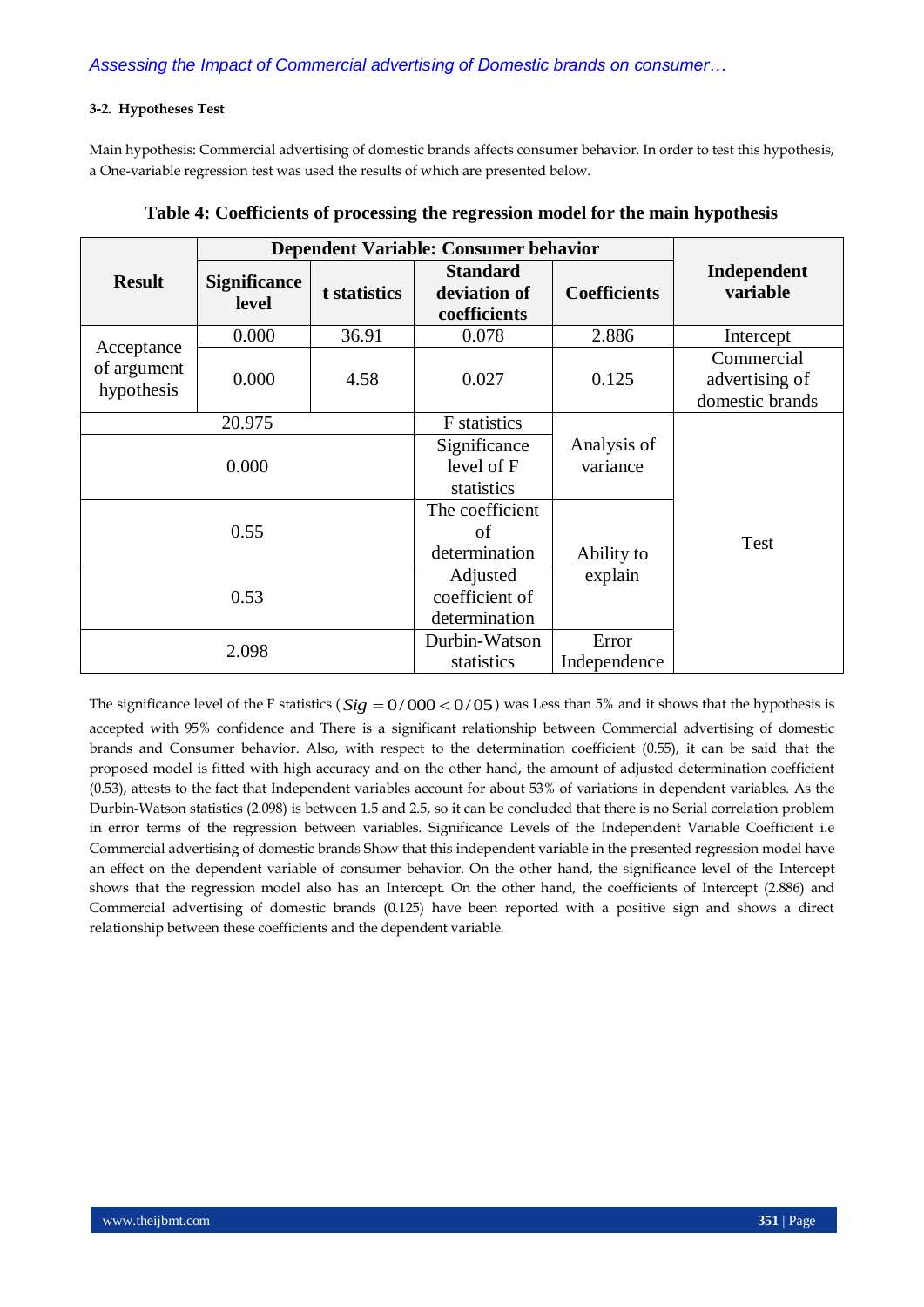## **3-2. Hypotheses Test**

Main hypothesis: Commercial advertising of domestic brands affects consumer behavior. In order to test this hypothesis, a One-variable regression test was used the results of which are presented below.

|                                         |                              |              | Dependent Variable: Consumer behavior           |                         |                                                 |
|-----------------------------------------|------------------------------|--------------|-------------------------------------------------|-------------------------|-------------------------------------------------|
| <b>Result</b>                           | <b>Significance</b><br>level | t statistics | <b>Standard</b><br>deviation of<br>coefficients | <b>Coefficients</b>     | Independent<br>variable                         |
|                                         | 0.000                        | 36.91        | 0.078                                           | 2.886                   | Intercept                                       |
| Acceptance<br>of argument<br>hypothesis | 0.000                        | 4.58         | 0.027                                           | 0.125                   | Commercial<br>advertising of<br>domestic brands |
| 20.975                                  |                              |              | <b>F</b> statistics                             |                         |                                                 |
| 0.000                                   |                              |              | Significance<br>level of F<br>statistics        | Analysis of<br>variance |                                                 |
| 0.55                                    |                              |              | The coefficient<br>of<br>determination          | Ability to              | Test                                            |
| 0.53                                    |                              |              | Adjusted<br>coefficient of<br>determination     | explain                 |                                                 |
| 2.098                                   |                              |              | Durbin-Watson<br>statistics                     | Error<br>Independence   |                                                 |

|  |  | Table 4: Coefficients of processing the regression model for the main hypothesis |
|--|--|----------------------------------------------------------------------------------|
|  |  |                                                                                  |

The significance level of the F statistics ( $Sig = 0/000 < 0/05$ ) was Less than 5% and it shows that the hypothesis is accepted with 95% confidence and There is a significant relationship between Commercial advertising of domestic brands and Consumer behavior. Also, with respect to the determination coefficient (0.55), it can be said that the proposed model is fitted with high accuracy and on the other hand, the amount of adjusted determination coefficient (0.53), attests to the fact that Independent variables account for about 53% of variations in dependent variables. As the Durbin-Watson statistics (2.098) is between 1.5 and 2.5, so it can be concluded that there is no Serial correlation problem in error terms of the regression between variables. Significance Levels of the Independent Variable Coefficient i.e Commercial advertising of domestic brands Show that this independent variable in the presented regression model have an effect on the dependent variable of consumer behavior. On the other hand, the significance level of the Intercept shows that the regression model also has an Intercept. On the other hand, the coefficients of Intercept (2.886) and Commercial advertising of domestic brands (0.125) have been reported with a positive sign and shows a direct relationship between these coefficients and the dependent variable.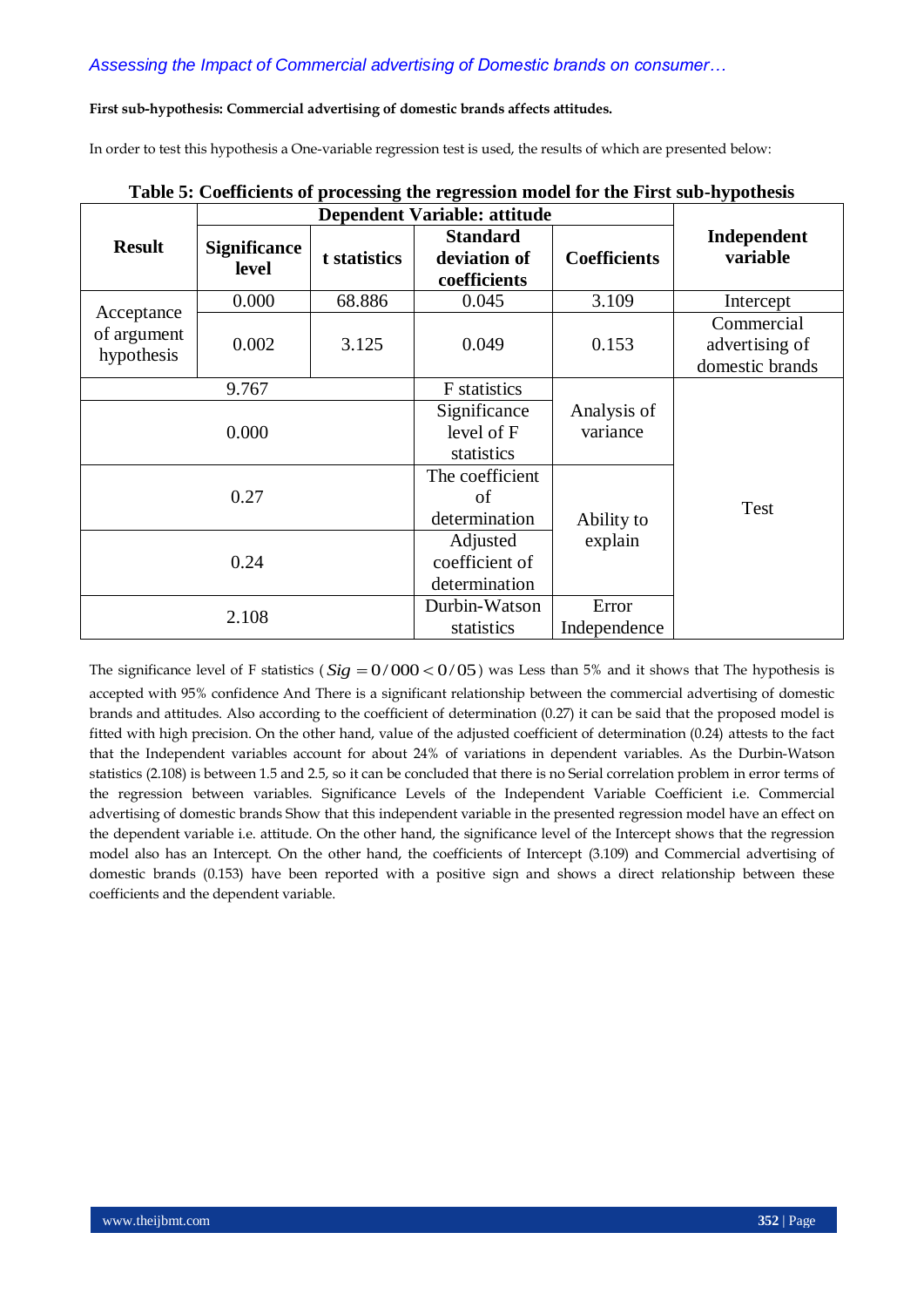## **First sub-hypothesis: Commercial advertising of domestic brands affects attitudes.**

In order to test this hypothesis a One-variable regression test is used, the results of which are presented below:

|                                         |                              |                                          | <b>Dependent Variable: attitude</b>             |                       |                                                 |
|-----------------------------------------|------------------------------|------------------------------------------|-------------------------------------------------|-----------------------|-------------------------------------------------|
| <b>Result</b>                           | <b>Significance</b><br>level | t statistics                             | <b>Standard</b><br>deviation of<br>coefficients | <b>Coefficients</b>   | Independent<br>variable                         |
|                                         | 0.000                        | 68.886                                   | 0.045                                           | 3.109                 | Intercept                                       |
| Acceptance<br>of argument<br>hypothesis | 0.002                        | 3.125                                    | 0.049                                           | 0.153                 | Commercial<br>advertising of<br>domestic brands |
| 9.767                                   |                              |                                          | F statistics                                    |                       |                                                 |
| 0.000                                   |                              | Significance<br>level of F<br>statistics | Analysis of<br>variance                         |                       |                                                 |
| 0.27                                    |                              | The coefficient<br>of<br>determination   | Ability to                                      | Test                  |                                                 |
|                                         | 0.24                         |                                          |                                                 | explain               |                                                 |
| 2.108                                   |                              |                                          | Durbin-Watson<br>statistics                     | Error<br>Independence |                                                 |

# **Table 5: Coefficients of processing the regression model for the First sub-hypothesis**

The significance level of F statistics ( $Sig = 0/000 < 0/05$ ) was Less than 5% and it shows that The hypothesis is accepted with 95% confidence And There is a significant relationship between the commercial advertising of domestic brands and attitudes. Also according to the coefficient of determination (0.27) it can be said that the proposed model is fitted with high precision. On the other hand, value of the adjusted coefficient of determination (0.24) attests to the fact that the Independent variables account for about 24% of variations in dependent variables. As the Durbin-Watson statistics (2.108) is between 1.5 and 2.5, so it can be concluded that there is no Serial correlation problem in error terms of the regression between variables. Significance Levels of the Independent Variable Coefficient i.e. Commercial advertising of domestic brands Show that this independent variable in the presented regression model have an effect on the dependent variable i.e. attitude. On the other hand, the significance level of the Intercept shows that the regression model also has an Intercept. On the other hand, the coefficients of Intercept (3.109) and Commercial advertising of domestic brands (0.153) have been reported with a positive sign and shows a direct relationship between these coefficients and the dependent variable.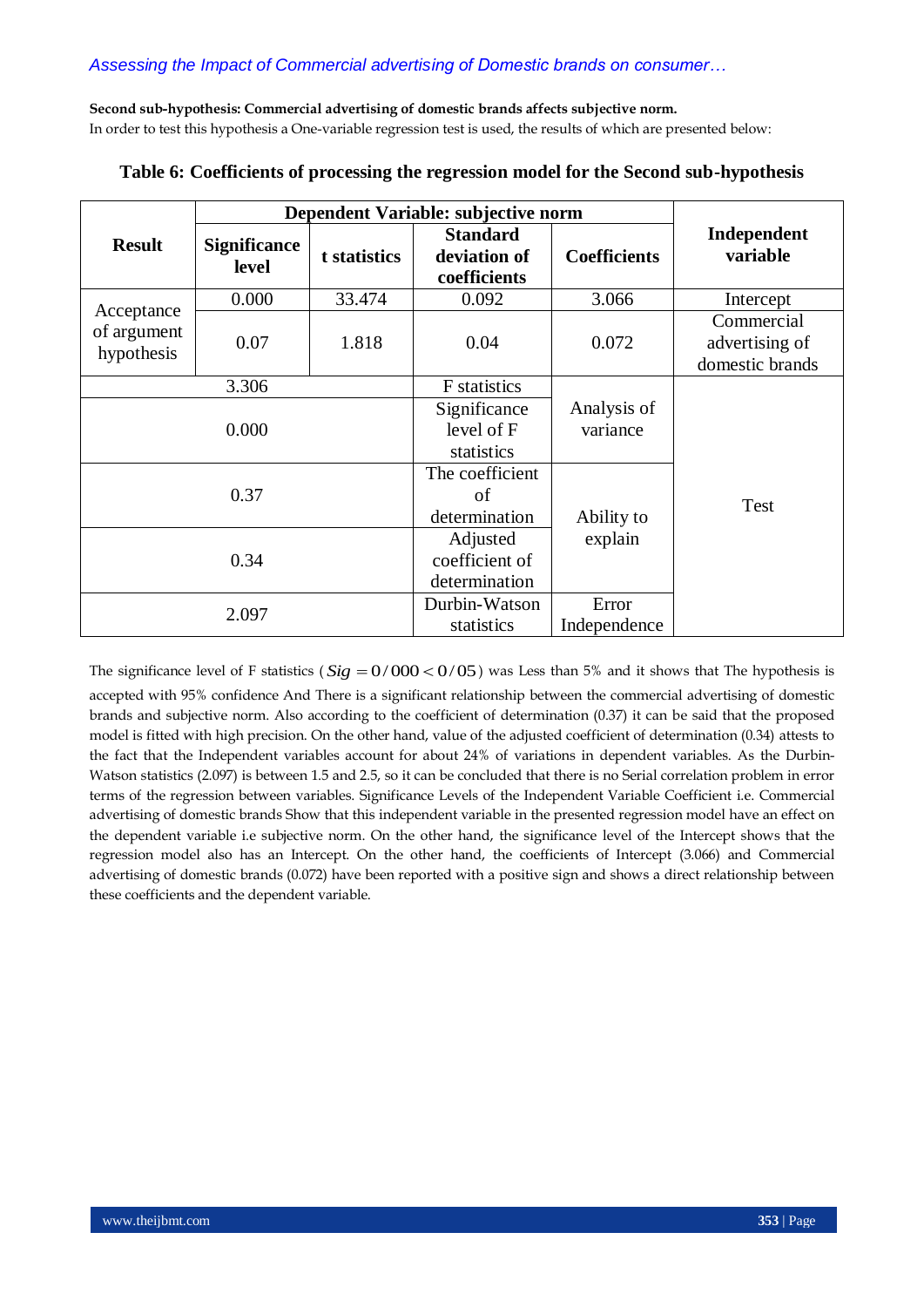**Second sub-hypothesis: Commercial advertising of domestic brands affects subjective norm.** In order to test this hypothesis a One-variable regression test is used, the results of which are presented below:

|                                         |                                     |                                             | Dependent Variable: subjective norm             |                         |                                                 |
|-----------------------------------------|-------------------------------------|---------------------------------------------|-------------------------------------------------|-------------------------|-------------------------------------------------|
| <b>Result</b>                           | <b>Significance</b><br><b>level</b> | t statistics                                | <b>Standard</b><br>deviation of<br>coefficients | <b>Coefficients</b>     | Independent<br>variable                         |
|                                         | 0.000                               | 33.474                                      | 0.092                                           | 3.066                   | Intercept                                       |
| Acceptance<br>of argument<br>hypothesis | 0.07                                | 1.818                                       | 0.04                                            | 0.072                   | Commercial<br>advertising of<br>domestic brands |
| 3.306                                   |                                     | F statistics                                |                                                 |                         |                                                 |
| 0.000                                   |                                     |                                             | Significance<br>level of F<br>statistics        | Analysis of<br>variance |                                                 |
| 0.37                                    |                                     |                                             | The coefficient<br>of<br>determination          | Ability to              | Test                                            |
| 0.34                                    |                                     | Adjusted<br>coefficient of<br>determination | explain                                         |                         |                                                 |
| 2.097                                   |                                     |                                             | Durbin-Watson<br>statistics                     | Error<br>Independence   |                                                 |

# **Table 6: Coefficients of processing the regression model for the Second sub-hypothesis**

The significance level of F statistics ( $Sig = 0/000 < 0/05$ ) was Less than 5% and it shows that The hypothesis is accepted with 95% confidence And There is a significant relationship between the commercial advertising of domestic brands and subjective norm. Also according to the coefficient of determination (0.37) it can be said that the proposed model is fitted with high precision. On the other hand, value of the adjusted coefficient of determination (0.34) attests to the fact that the Independent variables account for about 24% of variations in dependent variables. As the Durbin-Watson statistics (2.097) is between 1.5 and 2.5, so it can be concluded that there is no Serial correlation problem in error terms of the regression between variables. Significance Levels of the Independent Variable Coefficient i.e. Commercial advertising of domestic brands Show that this independent variable in the presented regression model have an effect on the dependent variable i.e subjective norm. On the other hand, the significance level of the Intercept shows that the regression model also has an Intercept. On the other hand, the coefficients of Intercept (3.066) and Commercial advertising of domestic brands (0.072) have been reported with a positive sign and shows a direct relationship between these coefficients and the dependent variable.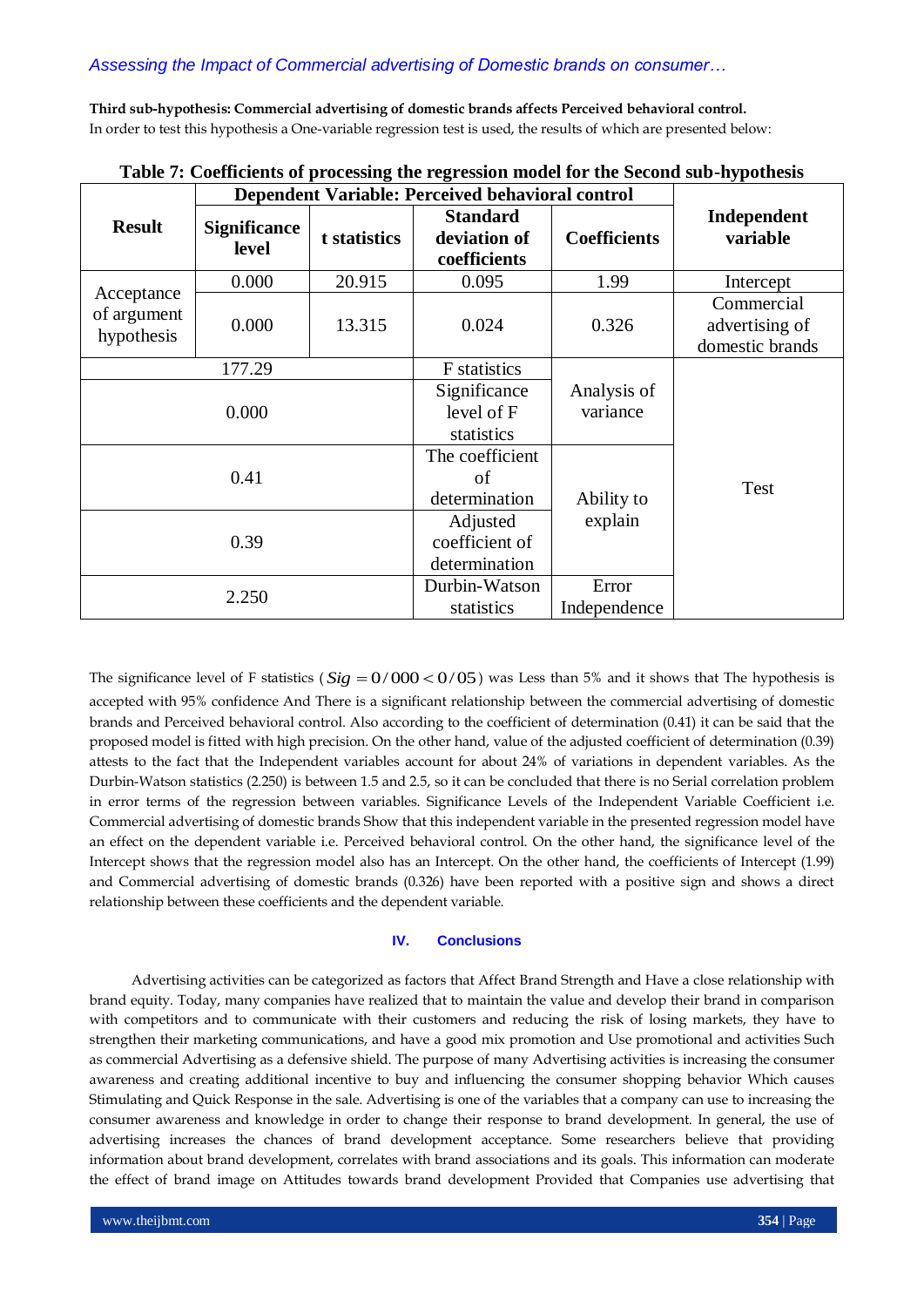**Third sub-hypothesis: Commercial advertising of domestic brands affects Perceived behavioral control.** In order to test this hypothesis a One-variable regression test is used, the results of which are presented below:

|                                         |                              |                                             | Dependent Variable: Perceived behavioral control |                         |                                                 |
|-----------------------------------------|------------------------------|---------------------------------------------|--------------------------------------------------|-------------------------|-------------------------------------------------|
| <b>Result</b>                           | <b>Significance</b><br>level | t statistics                                | <b>Standard</b><br>deviation of<br>coefficients  | <b>Coefficients</b>     | Independent<br>variable                         |
|                                         | 0.000                        | 20.915                                      | 0.095                                            | 1.99                    | Intercept                                       |
| Acceptance<br>of argument<br>hypothesis | 0.000                        | 13.315                                      | 0.024                                            | 0.326                   | Commercial<br>advertising of<br>domestic brands |
| 177.29                                  |                              | F statistics                                |                                                  |                         |                                                 |
| 0.000                                   |                              |                                             | Significance<br>level of F<br>statistics         | Analysis of<br>variance |                                                 |
| 0.41                                    |                              | The coefficient<br>of<br>determination      | Ability to                                       | <b>Test</b>             |                                                 |
| 0.39                                    |                              | Adjusted<br>coefficient of<br>determination | explain                                          |                         |                                                 |
| 2.250                                   |                              |                                             | Durbin-Watson<br>statistics                      | Error<br>Independence   |                                                 |

**Table 7: Coefficients of processing the regression model for the Second sub-hypothesis**

The significance level of F statistics ( $Sig = 0/000 < 0/05$ ) was Less than 5% and it shows that The hypothesis is accepted with 95% confidence And There is a significant relationship between the commercial advertising of domestic brands and Perceived behavioral control. Also according to the coefficient of determination (0.41) it can be said that the proposed model is fitted with high precision. On the other hand, value of the adjusted coefficient of determination (0.39) attests to the fact that the Independent variables account for about 24% of variations in dependent variables. As the Durbin-Watson statistics (2.250) is between 1.5 and 2.5, so it can be concluded that there is no Serial correlation problem in error terms of the regression between variables. Significance Levels of the Independent Variable Coefficient i.e. Commercial advertising of domestic brands Show that this independent variable in the presented regression model have an effect on the dependent variable i.e. Perceived behavioral control. On the other hand, the significance level of the Intercept shows that the regression model also has an Intercept. On the other hand, the coefficients of Intercept (1.99) and Commercial advertising of domestic brands (0.326) have been reported with a positive sign and shows a direct relationship between these coefficients and the dependent variable.

### **IV. Conclusions**

Advertising activities can be categorized as factors that Affect Brand Strength and Have a close relationship with brand equity. Today, many companies have realized that to maintain the value and develop their brand in comparison with competitors and to communicate with their customers and reducing the risk of losing markets, they have to strengthen their marketing communications, and have a good mix promotion and Use promotional and activities Such as commercial Advertising as a defensive shield. The purpose of many Advertising activities is increasing the consumer awareness and creating additional incentive to buy and influencing the consumer shopping behavior Which causes Stimulating and Quick Response in the sale. Advertising is one of the variables that a company can use to increasing the consumer awareness and knowledge in order to change their response to brand development. In general, the use of advertising increases the chances of brand development acceptance. Some researchers believe that providing information about brand development, correlates with brand associations and its goals. This information can moderate the effect of brand image on Attitudes towards brand development Provided that Companies use advertising that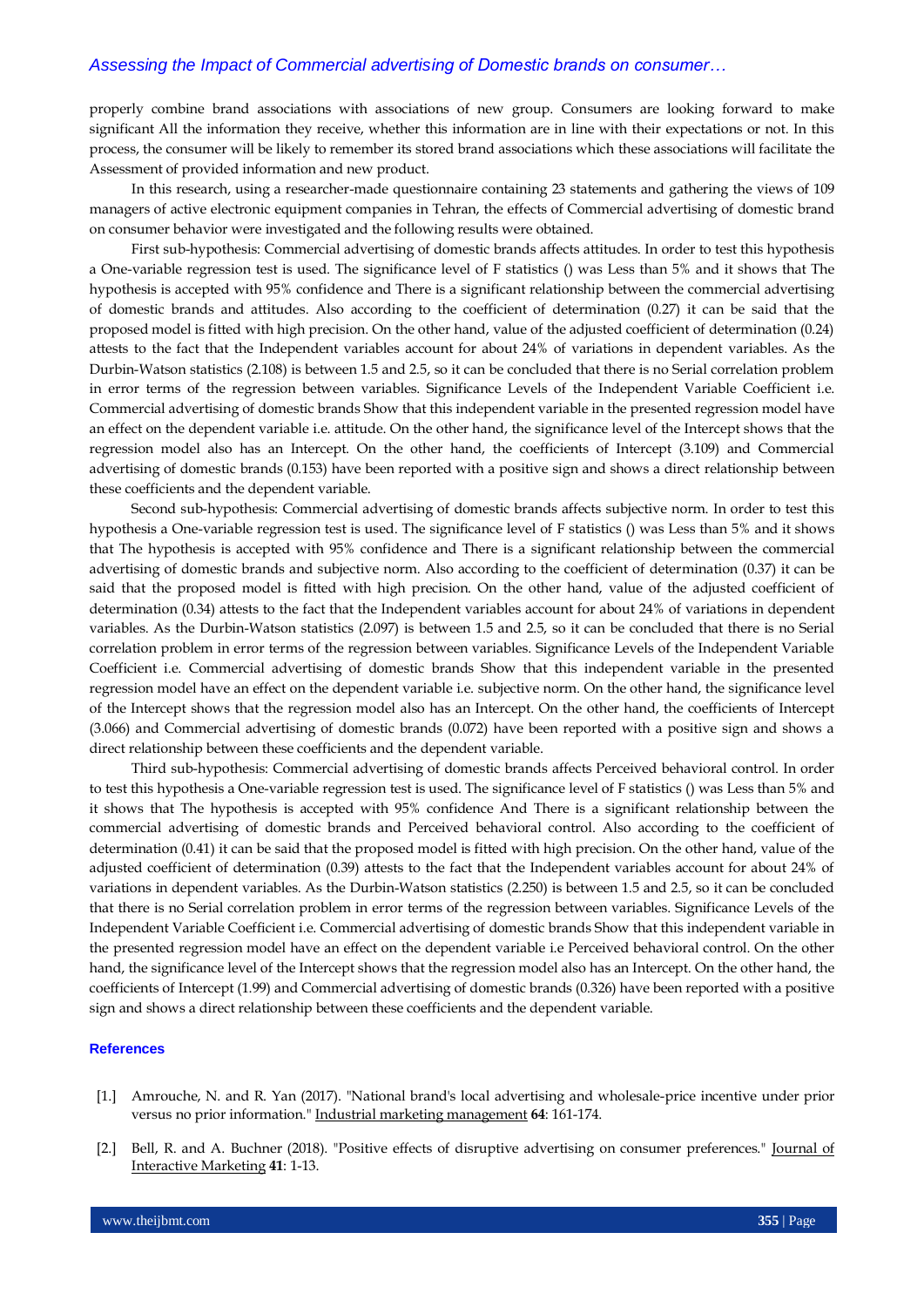properly combine brand associations with associations of new group. Consumers are looking forward to make significant All the information they receive, whether this information are in line with their expectations or not. In this process, the consumer will be likely to remember its stored brand associations which these associations will facilitate the Assessment of provided information and new product.

In this research, using a researcher-made questionnaire containing 23 statements and gathering the views of 109 managers of active electronic equipment companies in Tehran, the effects of Commercial advertising of domestic brand on consumer behavior were investigated and the following results were obtained.

First sub-hypothesis: Commercial advertising of domestic brands affects attitudes. In order to test this hypothesis a One-variable regression test is used. The significance level of F statistics () was Less than 5% and it shows that The hypothesis is accepted with 95% confidence and There is a significant relationship between the commercial advertising of domestic brands and attitudes. Also according to the coefficient of determination (0.27) it can be said that the proposed model is fitted with high precision. On the other hand, value of the adjusted coefficient of determination (0.24) attests to the fact that the Independent variables account for about 24% of variations in dependent variables. As the Durbin-Watson statistics (2.108) is between 1.5 and 2.5, so it can be concluded that there is no Serial correlation problem in error terms of the regression between variables. Significance Levels of the Independent Variable Coefficient i.e. Commercial advertising of domestic brands Show that this independent variable in the presented regression model have an effect on the dependent variable i.e. attitude. On the other hand, the significance level of the Intercept shows that the regression model also has an Intercept. On the other hand, the coefficients of Intercept (3.109) and Commercial advertising of domestic brands (0.153) have been reported with a positive sign and shows a direct relationship between these coefficients and the dependent variable.

Second sub-hypothesis: Commercial advertising of domestic brands affects subjective norm. In order to test this hypothesis a One-variable regression test is used. The significance level of F statistics () was Less than 5% and it shows that The hypothesis is accepted with 95% confidence and There is a significant relationship between the commercial advertising of domestic brands and subjective norm. Also according to the coefficient of determination (0.37) it can be said that the proposed model is fitted with high precision. On the other hand, value of the adjusted coefficient of determination (0.34) attests to the fact that the Independent variables account for about 24% of variations in dependent variables. As the Durbin-Watson statistics (2.097) is between 1.5 and 2.5, so it can be concluded that there is no Serial correlation problem in error terms of the regression between variables. Significance Levels of the Independent Variable Coefficient i.e. Commercial advertising of domestic brands Show that this independent variable in the presented regression model have an effect on the dependent variable i.e. subjective norm. On the other hand, the significance level of the Intercept shows that the regression model also has an Intercept. On the other hand, the coefficients of Intercept (3.066) and Commercial advertising of domestic brands (0.072) have been reported with a positive sign and shows a direct relationship between these coefficients and the dependent variable.

Third sub-hypothesis: Commercial advertising of domestic brands affects Perceived behavioral control. In order to test this hypothesis a One-variable regression test is used. The significance level of F statistics () was Less than 5% and it shows that The hypothesis is accepted with 95% confidence And There is a significant relationship between the commercial advertising of domestic brands and Perceived behavioral control. Also according to the coefficient of determination (0.41) it can be said that the proposed model is fitted with high precision. On the other hand, value of the adjusted coefficient of determination (0.39) attests to the fact that the Independent variables account for about 24% of variations in dependent variables. As the Durbin-Watson statistics (2.250) is between 1.5 and 2.5, so it can be concluded that there is no Serial correlation problem in error terms of the regression between variables. Significance Levels of the Independent Variable Coefficient i.e. Commercial advertising of domestic brands Show that this independent variable in the presented regression model have an effect on the dependent variable i.e Perceived behavioral control. On the other hand, the significance level of the Intercept shows that the regression model also has an Intercept. On the other hand, the coefficients of Intercept (1.99) and Commercial advertising of domestic brands (0.326) have been reported with a positive sign and shows a direct relationship between these coefficients and the dependent variable.

#### **References**

- [1.] Amrouche, N. and R. Yan (2017). "National brand's local advertising and wholesale-price incentive under prior versus no prior information." Industrial marketing management **64**: 161-174.
- [2.] Bell, R. and A. Buchner (2018). "Positive effects of disruptive advertising on consumer preferences." Journal of Interactive Marketing **41**: 1-13.